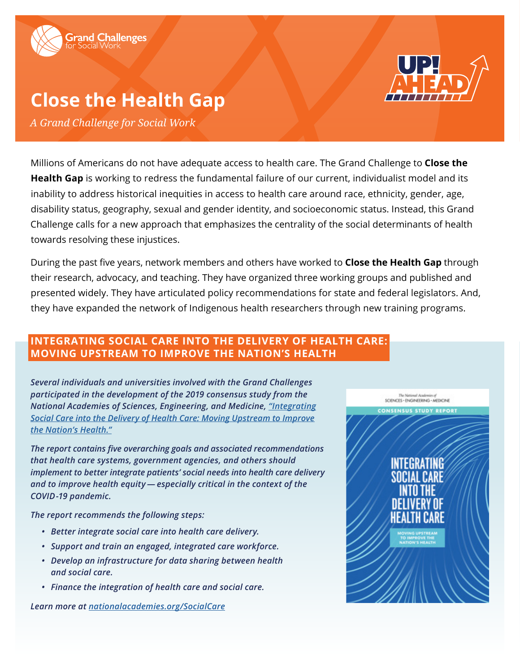

# **Close the Health Gap**

*A Grand Challenge for Social Work*

Millions of Americans do not have adequate access to health care. The Grand Challenge to **Close the Health Gap** is working to redress the fundamental failure of our current, individualist model and its inability to address historical inequities in access to health care around race, ethnicity, gender, age, disability status, geography, sexual and gender identity, and socioeconomic status. Instead, this Grand Challenge calls for a new approach that emphasizes the centrality of the social determinants of health towards resolving these injustices.

During the past five years, network members and others have worked to **Close the Health Gap** through their research, advocacy, and teaching. They have organized three working groups and published and presented widely. They have articulated policy recommendations for state and federal legislators. And, they have expanded the network of Indigenous health researchers through new training programs.

## **INTEGRATING SOCIAL CARE INTO THE DELIVERY OF HEALTH CARE: MOVING UPSTREAM TO IMPROVE THE NATION'S HEALTH**

*Several individuals and universities involved with the Grand Challenges participated in the development of the 2019 consensus study from the National Academies of Sciences, Engineering, and Medicine, ["Integrating](https://www.nationalacademies.org/our-work/integrating-social-needs-care-into-the-delivery-of-health-care-to-improve-the-nations-health#sectionWebFriendly) [Social Care into the Delivery of Health Care: Moving Upstream to Improve](https://www.nationalacademies.org/our-work/integrating-social-needs-care-into-the-delivery-of-health-care-to-improve-the-nations-health#sectionWebFriendly) [the Nation's Health."](https://www.nationalacademies.org/our-work/integrating-social-needs-care-into-the-delivery-of-health-care-to-improve-the-nations-health#sectionWebFriendly)*

*The report contains five overarching goals and associated recommendations that health care systems, government agencies, and others should implement to better integrate patients' social needs into health care delivery*  and to improve health equity — especially critical in the context of the *COVID -19 pandemic.* 

*The report recommends the following steps:* 

- *• Better integrate social care into health care delivery.*
- *• Support and train an engaged, integrated care workforce.*
- *• Develop an infrastructure for data sharing between health and social care.*
- *• Finance the integration of health care and social care.*

*Learn more at [nationalacademies.org/SocialCare](http://nationalacademies.org/SocialCare)*